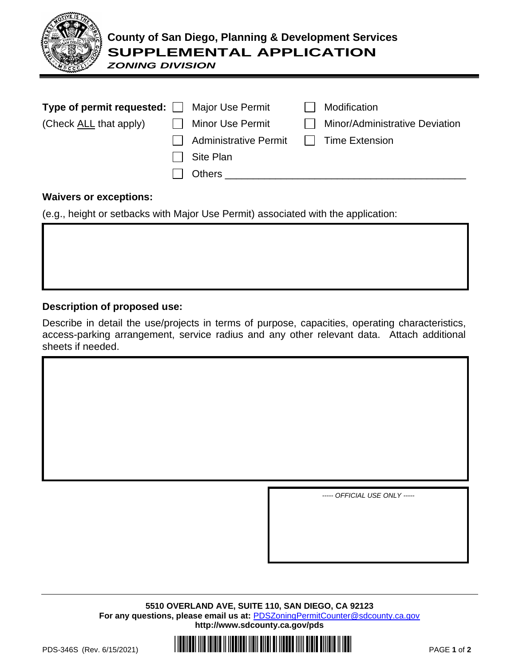

## **County of San Diego, Planning & Development Services SUPPLEMENTAL APPLICATION**

*ZONING DIVISION*

| Type of permit requested: □ Major Use Permit |                              | Modification                   |
|----------------------------------------------|------------------------------|--------------------------------|
| (Check ALL that apply)                       | <b>Minor Use Permit</b>      | Minor/Administrative Deviation |
|                                              | <b>Administrative Permit</b> | Time Extension                 |
|                                              | Site Plan                    |                                |
|                                              | <b>Others</b>                |                                |

## **Waivers or exceptions:**

(e.g., height or setbacks with Major Use Permit) associated with the application:

## **Description of proposed use:**

Describe in detail the use/projects in terms of purpose, capacities, operating characteristics, access-parking arrangement, service radius and any other relevant data. Attach additional sheets if needed.

*----- OFFICIAL USE ONLY -----*